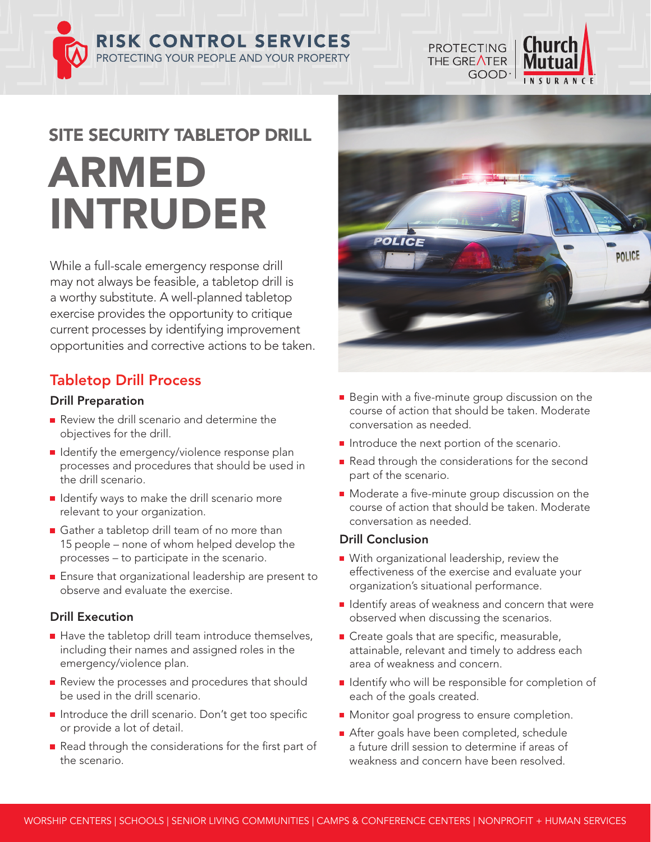**RISK CONTROL SERVICES** PROTECTING YOUR PEOPLE AND YOUR PROPERTY



**PROTECTING** 

THE GREATER

# SITE SECURITY TABLETOP DRILL ARMED INTRUDER

While a full-scale emergency response drill may not always be feasible, a tabletop drill is a worthy substitute. A well-planned tabletop exercise provides the opportunity to critique current processes by identifying improvement opportunities and corrective actions to be taken.

# Tabletop Drill Process

## Drill Preparation

- Review the drill scenario and determine the objectives for the drill.
- I Identify the emergency/violence response plan processes and procedures that should be used in the drill scenario.
- $\blacksquare$  Identify ways to make the drill scenario more relevant to your organization.
- Gather a tabletop drill team of no more than 15 people – none of whom helped develop the processes – to participate in the scenario.
- **Ensure that organizational leadership are present to** observe and evaluate the exercise.

# Drill Execution

- $\blacksquare$  Have the tabletop drill team introduce themselves, including their names and assigned roles in the emergency/violence plan.
- Review the processes and procedures that should be used in the drill scenario.
- Introduce the drill scenario. Don't get too specific or provide a lot of detail.
- Read through the considerations for the first part of the scenario.
- Begin with a five-minute group discussion on the course of action that should be taken. Moderate conversation as needed.
- Introduce the next portion of the scenario.
- Read through the considerations for the second part of the scenario.
- **Moderate a five-minute group discussion on the** course of action that should be taken. Moderate conversation as needed.

### Drill Conclusion

- With organizational leadership, review the effectiveness of the exercise and evaluate your organization's situational performance.
- $\blacksquare$  Identify areas of weakness and concern that were observed when discussing the scenarios.
- Create goals that are specific, measurable, attainable, relevant and timely to address each area of weakness and concern.
- I Identify who will be responsible for completion of each of the goals created.
- **Monitor goal progress to ensure completion.**
- After goals have been completed, schedule a future drill session to determine if areas of weakness and concern have been resolved.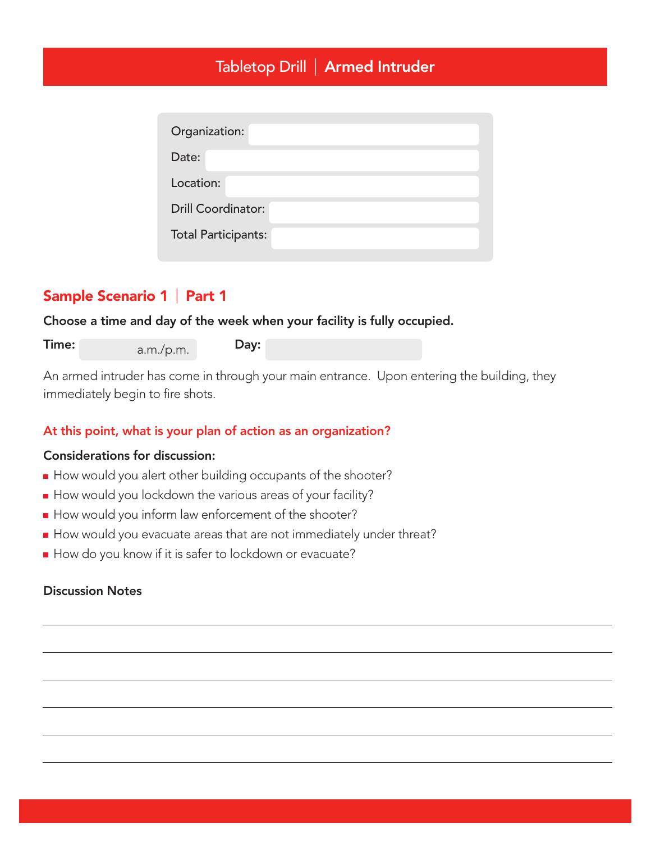# Tabletop Drill | Armed Intruder

| Organization:              |  |
|----------------------------|--|
| Date:                      |  |
| Location:                  |  |
| <b>Drill Coordinator:</b>  |  |
| <b>Total Participants:</b> |  |

# Sample Scenario 1 | Part 1

Choose a time and day of the week when your facility is fully occupied.

| Time: | a.m./p.m. | Day: |
|-------|-----------|------|
|       |           |      |

An armed intruder has come in through your main entrance. Upon entering the building, they immediately begin to fire shots.

### At this point, what is your plan of action as an organization?

#### Considerations for discussion:

- How would you alert other building occupants of the shooter?
- How would you lockdown the various areas of your facility?
- How would you inform law enforcement of the shooter?
- How would you evacuate areas that are not immediately under threat?
- How do you know if it is safer to lockdown or evacuate?

#### Discussion Notes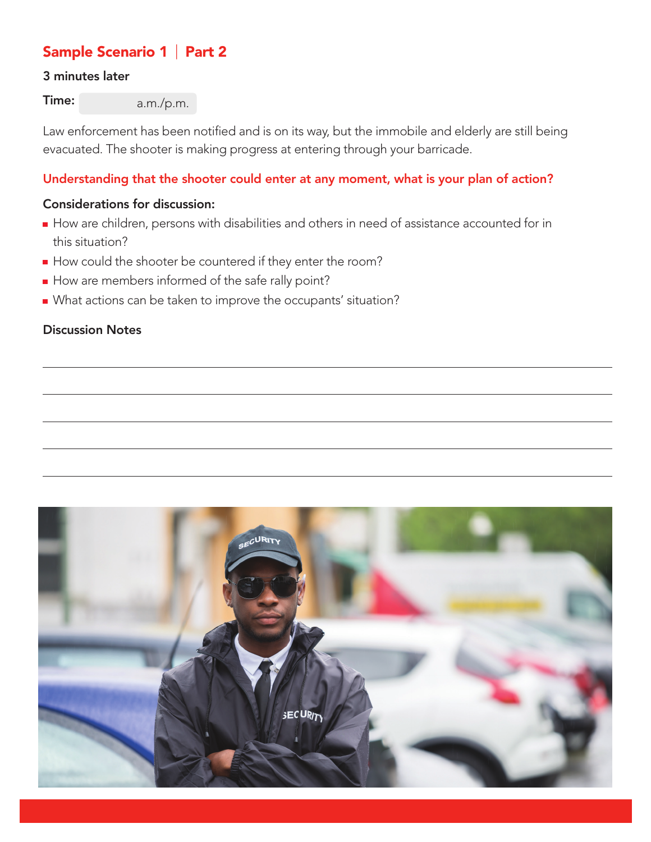# Sample Scenario 1 | Part 2

## 3 minutes later

Time: a.m./p.m.

Law enforcement has been notified and is on its way, but the immobile and elderly are still being evacuated. The shooter is making progress at entering through your barricade.

## Understanding that the shooter could enter at any moment, what is your plan of action?

## Considerations for discussion:

- How are children, persons with disabilities and others in need of assistance accounted for in this situation?
- How could the shooter be countered if they enter the room?
- How are members informed of the safe rally point?
- What actions can be taken to improve the occupants' situation?

## Discussion Notes